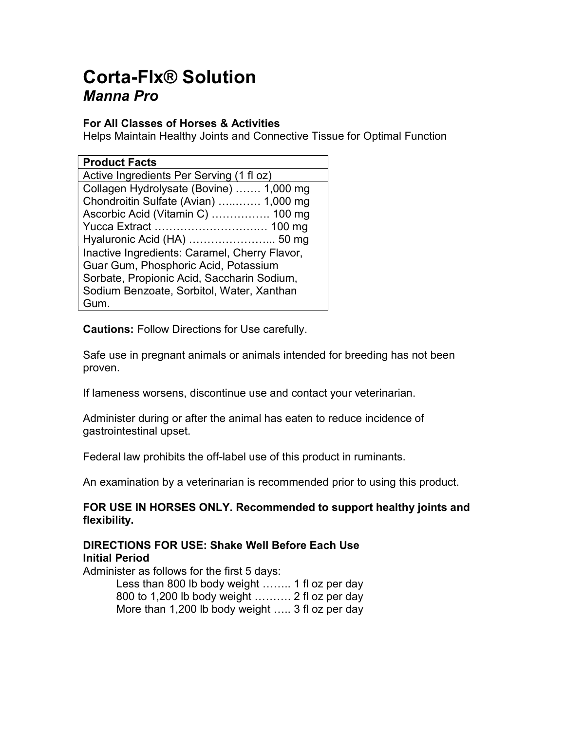# Corta-Flx® Solution Manna Pro

# For All Classes of Horses & Activities

Helps Maintain Healthy Joints and Connective Tissue for Optimal Function

| <b>Product Facts</b>                          |
|-----------------------------------------------|
| Active Ingredients Per Serving (1 fl oz)      |
| Collagen Hydrolysate (Bovine)  1,000 mg       |
| Chondroitin Sulfate (Avian)  1,000 mg         |
| Ascorbic Acid (Vitamin C)  100 mg             |
|                                               |
| Hyaluronic Acid (HA)  50 mg                   |
| Inactive Ingredients: Caramel, Cherry Flavor, |
| Guar Gum, Phosphoric Acid, Potassium          |
| Sorbate, Propionic Acid, Saccharin Sodium,    |
| Sodium Benzoate, Sorbitol, Water, Xanthan     |
| Gum.                                          |

Cautions: Follow Directions for Use carefully.

Safe use in pregnant animals or animals intended for breeding has not been proven.

If lameness worsens, discontinue use and contact your veterinarian.

Administer during or after the animal has eaten to reduce incidence of gastrointestinal upset.

Federal law prohibits the off-label use of this product in ruminants.

An examination by a veterinarian is recommended prior to using this product.

# FOR USE IN HORSES ONLY. Recommended to support healthy joints and flexibility.

# DIRECTIONS FOR USE: Shake Well Before Each Use Initial Period

Administer as follows for the first 5 days:

 Less than 800 lb body weight …….. 1 fl oz per day 800 to 1,200 lb body weight ………. 2 fl oz per day More than 1,200 lb body weight ….. 3 fl oz per day